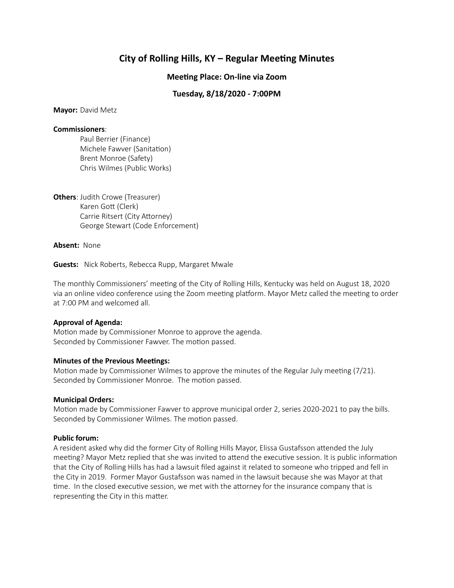# **City of Rolling Hills, KY – Regular Meeting Minutes**

# **Meeting Place: On-line via Zoom**

# **Tuesday, 8/18/2020 - 7:00PM**

**Mayor:** David Metz

#### **Commissioners**:

Paul Berrier (Finance) Michele Fawver (Sanitation) Brent Monroe (Safety) Chris Wilmes (Public Works)

**Others**: Judith Crowe (Treasurer) Karen Gott (Clerk) Carrie Ritsert (City Attorney) George Stewart (Code Enforcement)

**Absent:** None

**Guests:** Nick Roberts, Rebecca Rupp, Margaret Mwale

The monthly Commissioners' meeting of the City of Rolling Hills, Kentucky was held on August 18, 2020 via an online video conference using the Zoom meeting platform. Mayor Metz called the meeting to order at 7:00 PM and welcomed all.

# **Approval of Agenda:**

Motion made by Commissioner Monroe to approve the agenda. Seconded by Commissioner Fawver. The motion passed.

# **Minutes of the Previous Meetings:**

Motion made by Commissioner Wilmes to approve the minutes of the Regular July meeting  $(7/21)$ . Seconded by Commissioner Monroe. The motion passed.

# **Municipal Orders:**

Motion made by Commissioner Fawver to approve municipal order 2, series 2020-2021 to pay the bills. Seconded by Commissioner Wilmes. The motion passed.

# **Public forum:**

A resident asked why did the former City of Rolling Hills Mayor, Elissa Gustafsson attended the July meeting? Mayor Metz replied that she was invited to attend the executive session. It is public information that the City of Rolling Hills has had a lawsuit filed against it related to someone who tripped and fell in the City in 2019. Former Mayor Gustafsson was named in the lawsuit because she was Mayor at that time. In the closed executive session, we met with the attorney for the insurance company that is representing the City in this matter.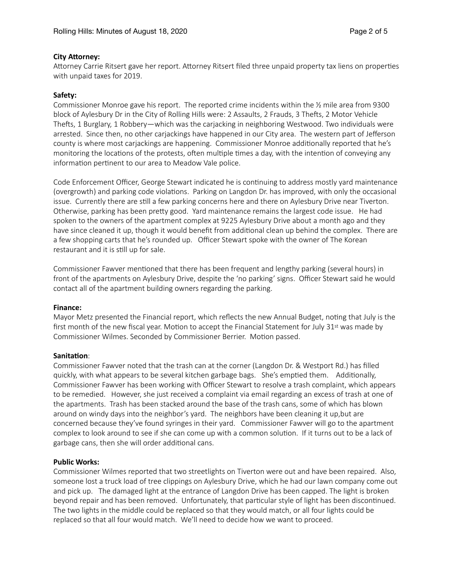# **City Attorney:**

Attorney Carrie Ritsert gave her report. Attorney Ritsert filed three unpaid property tax liens on properties with unpaid taxes for 2019.

# **Safety:**

Commissioner Monroe gave his report. The reported crime incidents within the ½ mile area from 9300 block of Aylesbury Dr in the City of Rolling Hills were: 2 Assaults, 2 Frauds, 3 Thefts, 2 Motor Vehicle Thefts, 1 Burglary, 1 Robbery—which was the carjacking in neighboring Westwood. Two individuals were arrested. Since then, no other carjackings have happened in our City area. The western part of Jefferson county is where most carjackings are happening. Commissioner Monroe additionally reported that he's monitoring the locations of the protests, often multiple times a day, with the intention of conveying any information pertinent to our area to Meadow Vale police.

Code Enforcement Officer, George Stewart indicated he is continuing to address mostly yard maintenance (overgrowth) and parking code violations. Parking on Langdon Dr. has improved, with only the occasional issue. Currently there are still a few parking concerns here and there on Aylesbury Drive near Tiverton. Otherwise, parking has been pretty good. Yard maintenance remains the largest code issue. He had spoken to the owners of the apartment complex at 9225 Aylesbury Drive about a month ago and they have since cleaned it up, though it would benefit from additional clean up behind the complex. There are a few shopping carts that he's rounded up. Officer Stewart spoke with the owner of The Korean restaurant and it is still up for sale.

Commissioner Fawver mentioned that there has been frequent and lengthy parking (several hours) in front of the apartments on Aylesbury Drive, despite the 'no parking' signs. Officer Stewart said he would contact all of the apartment building owners regarding the parking.

# **Finance:**

Mayor Metz presented the Financial report, which reflects the new Annual Budget, noting that July is the first month of the new fiscal year. Motion to accept the Financial Statement for July  $31^{st}$  was made by Commissioner Wilmes. Seconded by Commissioner Berrier. Motion passed.

# **Sanitation:**

Commissioner Fawver noted that the trash can at the corner (Langdon Dr. & Westport Rd.) has filled quickly, with what appears to be several kitchen garbage bags. She's emptied them. Additionally, Commissioner Fawver has been working with Officer Stewart to resolve a trash complaint, which appears to be remedied. However, she just received a complaint via email regarding an excess of trash at one of the apartments. Trash has been stacked around the base of the trash cans, some of which has blown around on windy days into the neighbor's yard. The neighbors have been cleaning it up,but are concerned because they've found syringes in their yard. Commissioner Fawver will go to the apartment complex to look around to see if she can come up with a common solution. If it turns out to be a lack of garbage cans, then she will order additional cans.

# **Public Works:**

Commissioner Wilmes reported that two streetlights on Tiverton were out and have been repaired. Also, someone lost a truck load of tree clippings on Aylesbury Drive, which he had our lawn company come out and pick up. The damaged light at the entrance of Langdon Drive has been capped. The light is broken beyond repair and has been removed. Unfortunately, that particular style of light has been discontinued. The two lights in the middle could be replaced so that they would match, or all four lights could be replaced so that all four would match. We'll need to decide how we want to proceed.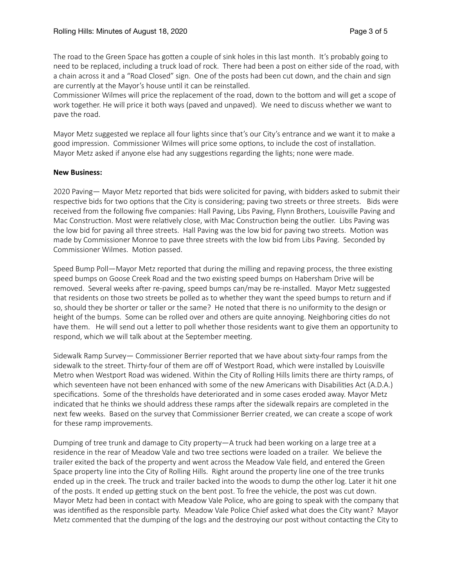The road to the Green Space has gotten a couple of sink holes in this last month. It's probably going to need to be replaced, including a truck load of rock. There had been a post on either side of the road, with a chain across it and a "Road Closed" sign. One of the posts had been cut down, and the chain and sign are currently at the Mayor's house until it can be reinstalled.

Commissioner Wilmes will price the replacement of the road, down to the bottom and will get a scope of work together. He will price it both ways (paved and unpaved). We need to discuss whether we want to pave the road.

Mayor Metz suggested we replace all four lights since that's our City's entrance and we want it to make a good impression. Commissioner Wilmes will price some options, to include the cost of installation. Mayor Metz asked if anyone else had any suggestions regarding the lights; none were made.

# **New Business:**

2020 Paving— Mayor Metz reported that bids were solicited for paving, with bidders asked to submit their respective bids for two options that the City is considering; paving two streets or three streets. Bids were received from the following five companies: Hall Paving, Libs Paving, Flynn Brothers, Louisville Paving and Mac Construction. Most were relatively close, with Mac Construction being the outlier. Libs Paving was the low bid for paving all three streets. Hall Paving was the low bid for paving two streets. Motion was made by Commissioner Monroe to pave three streets with the low bid from Libs Paving. Seconded by Commissioner Wilmes. Motion passed.

Speed Bump Poll—Mayor Metz reported that during the milling and repaving process, the three existing speed bumps on Goose Creek Road and the two existing speed bumps on Habersham Drive will be removed. Several weeks after re-paving, speed bumps can/may be re-installed. Mayor Metz suggested that residents on those two streets be polled as to whether they want the speed bumps to return and if so, should they be shorter or taller or the same? He noted that there is no uniformity to the design or height of the bumps. Some can be rolled over and others are quite annoying. Neighboring cities do not have them. He will send out a letter to poll whether those residents want to give them an opportunity to respond, which we will talk about at the September meeting.

Sidewalk Ramp Survey— Commissioner Berrier reported that we have about sixty-four ramps from the sidewalk to the street. Thirty-four of them are off of Westport Road, which were installed by Louisville Metro when Westport Road was widened. Within the City of Rolling Hills limits there are thirty ramps, of which seventeen have not been enhanced with some of the new Americans with Disabilities Act (A.D.A.) specifications. Some of the thresholds have deteriorated and in some cases eroded away. Mayor Metz indicated that he thinks we should address these ramps after the sidewalk repairs are completed in the next few weeks. Based on the survey that Commissioner Berrier created, we can create a scope of work for these ramp improvements.

Dumping of tree trunk and damage to City property—A truck had been working on a large tree at a residence in the rear of Meadow Vale and two tree sections were loaded on a trailer. We believe the trailer exited the back of the property and went across the Meadow Vale field, and entered the Green Space property line into the City of Rolling Hills. Right around the property line one of the tree trunks ended up in the creek. The truck and trailer backed into the woods to dump the other log. Later it hit one of the posts. It ended up getting stuck on the bent post. To free the vehicle, the post was cut down. Mayor Metz had been in contact with Meadow Vale Police, who are going to speak with the company that was identified as the responsible party. Meadow Vale Police Chief asked what does the City want? Mayor Metz commented that the dumping of the logs and the destroying our post without contacting the City to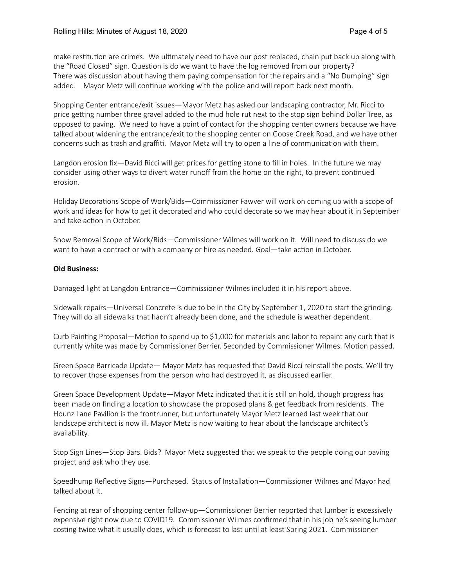make restitution are crimes. We ultimately need to have our post replaced, chain put back up along with the "Road Closed" sign. Question is do we want to have the log removed from our property? There was discussion about having them paying compensation for the repairs and a "No Dumping" sign added. Mayor Metz will continue working with the police and will report back next month.

Shopping Center entrance/exit issues—Mayor Metz has asked our landscaping contractor, Mr. Ricci to price getting number three gravel added to the mud hole rut next to the stop sign behind Dollar Tree, as opposed to paving. We need to have a point of contact for the shopping center owners because we have talked about widening the entrance/exit to the shopping center on Goose Creek Road, and we have other concerns such as trash and graffiti. Mayor Metz will try to open a line of communication with them.

Langdon erosion fix—David Ricci will get prices for getting stone to fill in holes. In the future we may consider using other ways to divert water runoff from the home on the right, to prevent continued erosion.

Holiday Decorations Scope of Work/Bids—Commissioner Fawver will work on coming up with a scope of work and ideas for how to get it decorated and who could decorate so we may hear about it in September and take action in October.

Snow Removal Scope of Work/Bids—Commissioner Wilmes will work on it. Will need to discuss do we want to have a contract or with a company or hire as needed. Goal—take action in October.

# **Old Business:**

Damaged light at Langdon Entrance—Commissioner Wilmes included it in his report above.

Sidewalk repairs—Universal Concrete is due to be in the City by September 1, 2020 to start the grinding. They will do all sidewalks that hadn't already been done, and the schedule is weather dependent.

Curb Painting Proposal—Motion to spend up to \$1,000 for materials and labor to repaint any curb that is currently white was made by Commissioner Berrier. Seconded by Commissioner Wilmes. Motion passed.

Green Space Barricade Update— Mayor Metz has requested that David Ricci reinstall the posts. We'll try to recover those expenses from the person who had destroyed it, as discussed earlier.

Green Space Development Update—Mayor Metz indicated that it is still on hold, though progress has been made on finding a location to showcase the proposed plans & get feedback from residents. The Hounz Lane Pavilion is the frontrunner, but unfortunately Mayor Metz learned last week that our landscape architect is now ill. Mayor Metz is now waiting to hear about the landscape architect's availability.

Stop Sign Lines—Stop Bars. Bids? Mayor Metz suggested that we speak to the people doing our paving project and ask who they use.

Speedhump Reflective Signs—Purchased. Status of Installation—Commissioner Wilmes and Mayor had talked about it.

Fencing at rear of shopping center follow-up—Commissioner Berrier reported that lumber is excessively expensive right now due to COVID19. Commissioner Wilmes confirmed that in his job he's seeing lumber costing twice what it usually does, which is forecast to last until at least Spring 2021. Commissioner